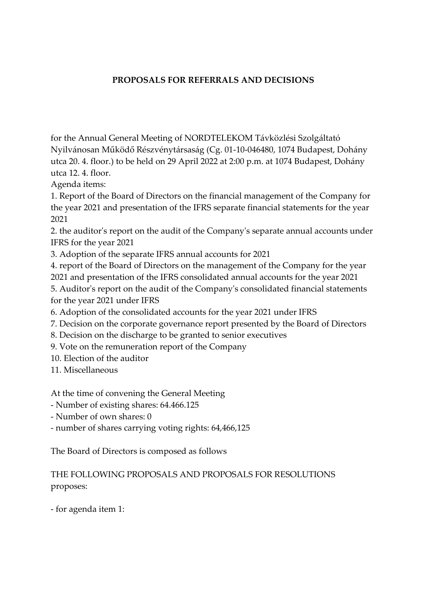## **PROPOSALS FOR REFERRALS AND DECISIONS**

for the Annual General Meeting of NORDTELEKOM Távközlési Szolgáltató Nyilvánosan Működő Részvénytársaság (Cg. 01-10-046480, 1074 Budapest, Dohány utca 20. 4. floor.) to be held on 29 April 2022 at 2:00 p.m. at 1074 Budapest, Dohány utca 12. 4. floor.

Agenda items:

1. Report of the Board of Directors on the financial management of the Company for the year 2021 and presentation of the IFRS separate financial statements for the year 2021

2. the auditor's report on the audit of the Company's separate annual accounts under IFRS for the year 2021

3. Adoption of the separate IFRS annual accounts for 2021

4. report of the Board of Directors on the management of the Company for the year 2021 and presentation of the IFRS consolidated annual accounts for the year 2021

5. Auditor's report on the audit of the Company's consolidated financial statements for the year 2021 under IFRS

6. Adoption of the consolidated accounts for the year 2021 under IFRS

7. Decision on the corporate governance report presented by the Board of Directors

- 8. Decision on the discharge to be granted to senior executives
- 9. Vote on the remuneration report of the Company
- 10. Election of the auditor
- 11. Miscellaneous

At the time of convening the General Meeting

- Number of existing shares: 64.466.125
- Number of own shares: 0

- number of shares carrying voting rights: 64,466,125

The Board of Directors is composed as follows

## THE FOLLOWING PROPOSALS AND PROPOSALS FOR RESOLUTIONS proposes:

- for agenda item 1: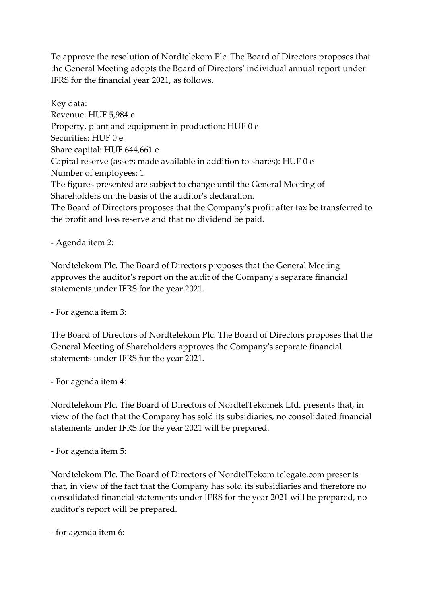To approve the resolution of Nordtelekom Plc. The Board of Directors proposes that the General Meeting adopts the Board of Directors' individual annual report under IFRS for the financial year 2021, as follows.

Key data: Revenue: HUF 5,984 e Property, plant and equipment in production: HUF 0 e Securities: HUF 0 e Share capital: HUF 644,661 e Capital reserve (assets made available in addition to shares): HUF 0 e Number of employees: 1 The figures presented are subject to change until the General Meeting of Shareholders on the basis of the auditor's declaration. The Board of Directors proposes that the Company's profit after tax be transferred to

the profit and loss reserve and that no dividend be paid.

- Agenda item 2:

Nordtelekom Plc. The Board of Directors proposes that the General Meeting approves the auditor's report on the audit of the Company's separate financial statements under IFRS for the year 2021.

- For agenda item 3:

The Board of Directors of Nordtelekom Plc. The Board of Directors proposes that the General Meeting of Shareholders approves the Company's separate financial statements under IFRS for the year 2021.

- For agenda item 4:

Nordtelekom Plc. The Board of Directors of NordtelTekomek Ltd. presents that, in view of the fact that the Company has sold its subsidiaries, no consolidated financial statements under IFRS for the year 2021 will be prepared.

- For agenda item 5:

Nordtelekom Plc. The Board of Directors of NordtelTekom telegate.com presents that, in view of the fact that the Company has sold its subsidiaries and therefore no consolidated financial statements under IFRS for the year 2021 will be prepared, no auditor's report will be prepared.

- for agenda item 6: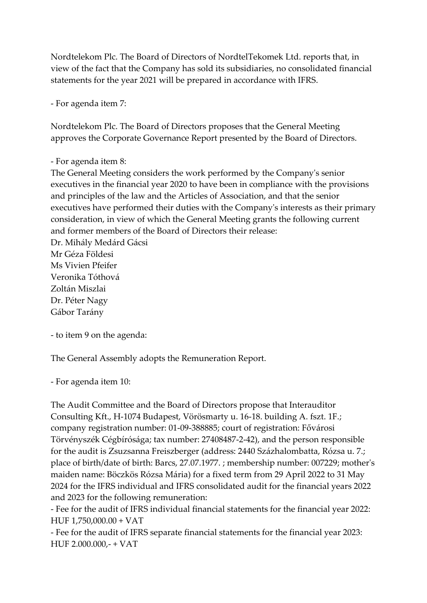Nordtelekom Plc. The Board of Directors of NordtelTekomek Ltd. reports that, in view of the fact that the Company has sold its subsidiaries, no consolidated financial statements for the year 2021 will be prepared in accordance with IFRS.

- For agenda item 7:

Nordtelekom Plc. The Board of Directors proposes that the General Meeting approves the Corporate Governance Report presented by the Board of Directors.

```
- For agenda item 8:
```
The General Meeting considers the work performed by the Company's senior executives in the financial year 2020 to have been in compliance with the provisions and principles of the law and the Articles of Association, and that the senior executives have performed their duties with the Company's interests as their primary consideration, in view of which the General Meeting grants the following current and former members of the Board of Directors their release:

Dr. Mihály Medárd Gácsi Mr Géza Földesi Ms Vivien Pfeifer Veronika Tóthová Zoltán Miszlai Dr. Péter Nagy Gábor Tarány

- to item 9 on the agenda:

The General Assembly adopts the Remuneration Report.

- For agenda item 10:

The Audit Committee and the Board of Directors propose that Interauditor Consulting Kft., H-1074 Budapest, Vörösmarty u. 16-18. building A. fszt. 1F.; company registration number: 01-09-388885; court of registration: Fővárosi Törvényszék Cégbírósága; tax number: 27408487-2-42), and the person responsible for the audit is Zsuzsanna Freiszberger (address: 2440 Százhalombatta, Rózsa u. 7.; place of birth/date of birth: Barcs, 27.07.1977. ; membership number: 007229; mother's maiden name: Böczkös Rózsa Mária) for a fixed term from 29 April 2022 to 31 May 2024 for the IFRS individual and IFRS consolidated audit for the financial years 2022 and 2023 for the following remuneration:

- Fee for the audit of IFRS individual financial statements for the financial year 2022: HUF 1,750,000.00 + VAT

- Fee for the audit of IFRS separate financial statements for the financial year 2023: HUF 2.000.000,- + VAT